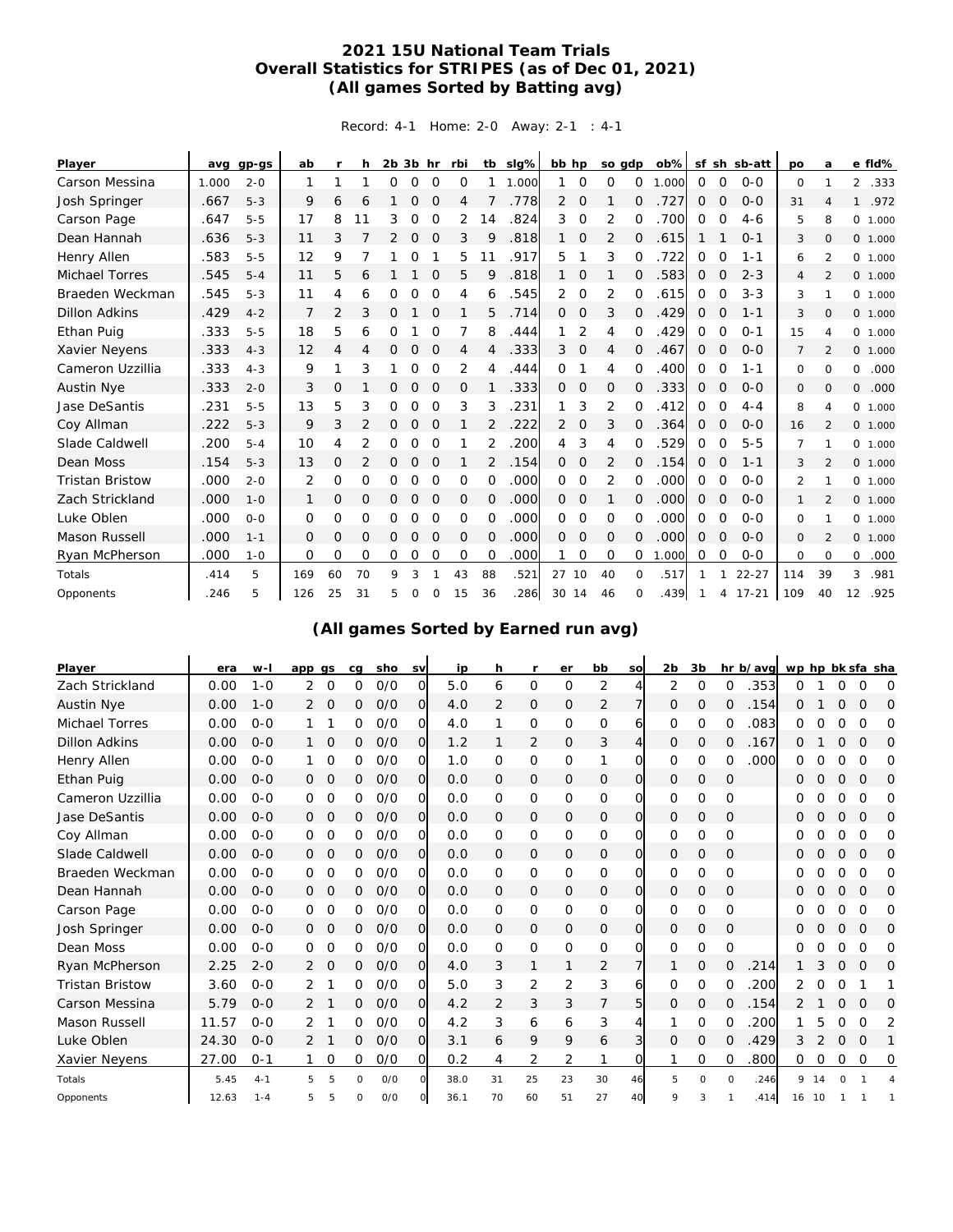## **2021 15U National Team Trials Overall Statistics for STRIPES (as of Dec 01, 2021) (All games Sorted by Batting avg)**

Record: 4-1 Home: 2-0 Away: 2-1 : 4-1

| Player                 | avq   | $qp-gs$ | ab           | r              | h.             | $2b$ $3b$ hr |   |                | rbi | tb       | slg%  | bb hp          |             | so gdp         |                | $ob\%$ |              |             | sf sh sb-att | po             | a              |                | e fld%   |
|------------------------|-------|---------|--------------|----------------|----------------|--------------|---|----------------|-----|----------|-------|----------------|-------------|----------------|----------------|--------|--------------|-------------|--------------|----------------|----------------|----------------|----------|
| Carson Messina         | 1.000 | $2 - 0$ | 1            | 1              |                | $\Omega$     | 0 | 0              | 0   |          | 1.000 |                | 0           | 0              | 0              | 1.000  | $\Omega$     | $\mathbf 0$ | $0 - 0$      | 0              | 1              | $\overline{2}$ | .333     |
| Josh Springer          | .667  | $5 - 3$ | 9            | 6              | 6              |              | 0 | 0              | 4   |          | .778  | $\overline{2}$ | 0           | $\mathbf{1}$   | $\mathbf{0}$   | .727   | $\mathbf{0}$ | 0           | $O-O$        | 31             | 4              | $\mathbf{1}$   | .972     |
| Carson Page            | .647  | $5 - 5$ | 17           | 8              | 11             | 3            | 0 | O              | 2   | 14       | .824  | 3              | O           | 2              | 0              | .700   | 0            | $\circ$     | $4 - 6$      | 5              | 8              |                | 0, 1,000 |
| Dean Hannah            | .636  | $5 - 3$ | 11           | 3              |                | 2            | 0 | O              | 3   | 9        | .818  |                | 0           | 2              | 0              | .615   |              |             | $0 - 1$      | 3              | 0              |                | 0 1.000  |
| Henry Allen            | .583  | $5 - 5$ | 12           | 9              |                |              | 0 |                | 5   | 11       | .917  | 5              |             | 3              | 0              | .722   | 0            | 0           | $1 - 1$      | 6              | 2              |                | 0 1.000  |
| <b>Michael Torres</b>  | .545  | $5 - 4$ | 11           | 5              | 6              |              |   | $\Omega$       | 5   | 9        | .818  |                | $\circ$     |                | $\overline{O}$ | .583   | $\mathbf{0}$ | O           | $2 - 3$      | 4              | $\overline{2}$ |                | 0, 1,000 |
| Braeden Weckman        | .545  | $5 - 3$ | 11           | 4              | 6              | 0            | 0 | $\Omega$       | 4   | 6        | .545  | 2              | 0           | 2              | 0              | .615   | 0            | 0           | $3 - 3$      | 3              | 1              |                | 0 1.000  |
| <b>Dillon Adkins</b>   | .429  | $4 - 2$ | 7            | $\overline{2}$ | 3              | 0            |   | $\Omega$       |     | 5        | .714  | 0              | 0           | 3              | 0              | .429   | $\mathbf{0}$ | O           | $1 - 1$      | 3              | $\mathbf{O}$   |                | 0 1.000  |
| Ethan Puig             | .333  | $5 - 5$ | 18           | 5              | 6              | 0            |   | $\Omega$       | 7   | 8        | .444  |                | 2           | 4              | $\Omega$       | .429   | 0            | 0           | $O - 1$      | 15             | 4              |                | 0 1.000  |
| Xavier Neyens          | .333  | $4 - 3$ | 12           | 4              | 4              | 0            | 0 | $\Omega$       | 4   | 4        | .333  | 3              | $\mathbf 0$ | $\overline{4}$ | $\Omega$       | .467   | $\mathbf{0}$ | 0           | $O - O$      | $\overline{7}$ | $\mathfrak{D}$ |                | 0, 1,000 |
| Cameron Uzzillia       | .333  | $4 - 3$ | 9            | 1              | 3              |              | 0 | $\Omega$       | 2   | 4        | .444  | 0              |             | 4              | $\Omega$       | .400   | $\Omega$     | $\Omega$    | $1 - 1$      | 0              | $\Omega$       | $\circ$        | .000     |
| <b>Austin Nye</b>      | .333  | $2 - 0$ | 3            | $\circ$        |                | 0            | 0 | 0              | 0   |          | .333  | $\overline{0}$ | 0           | 0              | 0              | .333   | $\mathbf{0}$ | 0           | $0 - 0$      | 0              | $\mathbf{O}$   | $\circ$        | .000     |
| Jase DeSantis          | .231  | $5 - 5$ | 13           | 5              | 3              | 0            | 0 | $\mathcal{O}$  | 3   | 3        | 231   |                | 3           | $\overline{2}$ | O              | .412   | 0            | O           | $4 - 4$      | 8              | $\overline{4}$ |                | 0 1.000  |
| Coy Allman             | .222  | $5 - 3$ | 9            | 3              | 2              | 0            | 0 | 0              |     | 2        | .222  | 2              | 0           | 3              | $\Omega$       | .364   | $\mathbf{0}$ | 0           | $O - O$      | 16             | $\mathfrak{D}$ |                | 0, 1,000 |
| Slade Caldwell         | .200  | $5 - 4$ | 10           | 4              | 2              | 0            | 0 | 0              |     | 2        | .200  | 4              | 3           | 4              | $\Omega$       | 529    | 0            | 0           | $5-5$        | 7              | 1              |                | 0 1.000  |
| Dean Moss              | .154  | $5 - 3$ | 13           | 0              | 2              | 0            | 0 | O              |     | 2        | .154  | 0              | $\mathbf 0$ | 2              | 0              | .154   | 0            | O           | $1 - 1$      | 3              | $\mathfrak{D}$ |                | 0 1.000  |
| <b>Tristan Bristow</b> | .000  | $2 - 0$ | 2            | 0              | O              | Ω            | 0 | $\Omega$       | 0   | 0        | .000  | $\Omega$       | 0           | 2              | $\Omega$       | .000   | $\Omega$     | 0           | $O - O$      | $\overline{2}$ | -1             |                | 0 1.000  |
| Zach Strickland        | .000  | $1 - 0$ |              | 0              | $\overline{O}$ | 0            | 0 | $\overline{O}$ | 0   | 0        | .000  | $\overline{0}$ | 0           |                | 0              | .000   | $\mathbf{0}$ | O           | $O - O$      | $\mathbf{1}$   | $\mathfrak{D}$ |                | 0, 1.000 |
| Luke Oblen             | .000  | $O - O$ | $\Omega$     | 0              | 0              | 0            | 0 | 0              | 0   | $\Omega$ | .000  | $\Omega$       | 0           | 0              | $\Omega$       | .000   | 0            | 0           | $O - O$      | 0              |                |                | 0 1.000  |
| <b>Mason Russell</b>   | .000  | $1 - 1$ | $\mathbf{0}$ | 0              | $\Omega$       | 0            | 0 | $\overline{O}$ | 0   | 0        | .000  | $\Omega$       | 0           | $\circ$        | $\Omega$       | .000   | $\Omega$     | 0           | $O - O$      | 0              | $\mathfrak{D}$ |                | 0, 1,000 |
| Ryan McPherson         | .000  | $1 - 0$ | 0            | 0              | 0              | 0            | 0 | 0              | 0   | 0        | .000  |                | 0           | 0              | $\mathbf 0$    | 1.000  | 0            | 0           | $0 - 0$      | $\circ$        | $\Omega$       | $\circ$        | .000     |
| Totals                 | .414  | 5       | 169          | 60             | 70             | 9            | 3 |                | 43  | 88       | .521  | 27             | 10          | 40             | $\Omega$       | .517   |              |             | $22 - 27$    | 114            | 39             | 3              | .981     |
| Opponents              | .246  | 5       | 126          | 25             | 31             | 5            | O |                | 15  | 36       | .286  | 30             | 14          | 46             |                | .439   |              | Δ           | $17 - 21$    | 109            | 40             | 12             | .925     |

**(All games Sorted by Earned run avg)**

| Player                 | era   | $W -$   | app qs |         | cq       | sho | <b>SV</b>      | ip   | h              | r              | er            | bb             | SO             | 2 <sub>b</sub> | 3b            |             | hr b/avg | wp hp bk sfa sha |    |                |          |   |
|------------------------|-------|---------|--------|---------|----------|-----|----------------|------|----------------|----------------|---------------|----------------|----------------|----------------|---------------|-------------|----------|------------------|----|----------------|----------|---|
| Zach Strickland        | 0.00  | $1 - 0$ | 2      | $\circ$ | 0        | O/O | 0              | 5.0  | 6              | 0              | $\circ$       | 2              |                | 2              | $\mathbf 0$   | 0           | 353      | Ω                |    | 0              | 0        | 0 |
| Austin Nye             | 0.00  | $1 - 0$ | 2      | 0       | 0        | O/O | 0              | 4.0  | 2              | 0              | 0             | 2              | 7              | 0              | 0             | $\Omega$    | 154      | Ω                |    | 0              | 0        | 0 |
| Michael Torres         | 0.00  | $O - O$ |        |         | 0        | O/O | 0              | 4.0  |                | 0              | O             | 0              | 6              | 0              | 0             | Ω           | 083      | Ω                |    | Ω              | O        | 0 |
| <b>Dillon Adkins</b>   | 0.00  | $O - O$ |        | 0       | 0        | O/O | 0              | 1.2  |                | 2              | 0             | 3              | $\overline{4}$ | 0              | 0             | 0           | .167     | Ω                |    | Ω              | O        | 0 |
| Henry Allen            | 0.00  | $O - O$ |        | 0       | 0        | O/O | $\circ$        | 1.0  | $\Omega$       | 0              | 0             | 1              | $\Omega$       | 0              | 0             | Ω           | 000      | 0                |    | Ω              | Ω        | 0 |
| Ethan Puig             | 0.00  | $O - O$ | 0      | O       | 0        | O/O | 0              | 0.0  | 0              | 0              | 0             | 0              | O              | 0              | 0             | $\mathbf 0$ |          | Ω                | Ω  | 0              | 0        | 0 |
| Cameron Uzzillia       | 0.00  | $O - O$ | 0      | 0       | 0        | O/O | 0              | 0.0  | 0              | 0              | 0             | 0              | 0              | 0              | 0             | 0           |          | O                | Ο  | 0              | 0        | 0 |
| Jase DeSantis          | 0.00  | $O - O$ | 0      | 0       | 0        | O/O | 0              | 0.0  | 0              | 0              | $\mathbf 0$   | 0              | O              | 0              | 0             | $\mathbf 0$ |          | Ω                |    | 0              | 0        | O |
| Coy Allman             | 0.00  | $O - O$ | 0      | O       | Ω        | O/O | 0              | 0.0  | $\Omega$       | 0              | 0             | 0              | $\Omega$       | 0              | O             | $\Omega$    |          | Ω                | ი  | $\Omega$       | 0        | Ω |
| Slade Caldwell         | 0.00  | $O - O$ | 0      | O       | 0        | O/O | $\overline{O}$ | 0.0  | 0              | 0              | $\mathcal{O}$ | $\mathbf 0$    | $\circ$        | 0              | $\circ$       | $\Omega$    |          | Ω                | O  | Ω              | $\Omega$ | 0 |
| Braeden Weckman        | 0.00  | $O - O$ | 0      | 0       | 0        | O/O | 0              | 0.0  | $\mathbf 0$    | 0              | 0             | 0              | O              | 0              | 0             | 0           |          | ი                |    | 0              | 0        | 0 |
| Dean Hannah            | 0.00  | $O - O$ | 0      | O       | 0        | O/O | O              | 0.0  | 0              | 0              | $\circ$       | $\mathcal{O}$  | $\overline{O}$ | 0              | 0             | $\mathbf 0$ |          | Ω                | O  | Ω              | 0        | O |
| Carson Page            | 0.00  | $O - O$ | 0      | 0       | 0        | O/O | 0              | 0.0  | 0              | 0              | 0             | $\mathbf 0$    | $\Omega$       | 0              | 0             | $\Omega$    |          | Ο                |    | 0              | O        | Ω |
| Josh Springer          | 0.00  | $O - O$ | 0      | 0       | 0        | O/O | $\overline{O}$ | 0.0  | 0              | 0              | $\mathcal{O}$ | $\mathbf 0$    | $\Omega$       | 0              | 0             | $\mathbf 0$ |          | Ω                |    | Ω              | O        | 0 |
| Dean Moss              | 0.00  | $O - O$ | 0      | 0       | 0        | O/O | 0              | 0.0  | 0              | 0              | 0             | 0              | $\Omega$       | 0              | 0             | $\mathbf 0$ |          | Ω                | Ω  | 0              | 0        | 0 |
| Ryan McPherson         | 2.25  | $2 - 0$ | 2      | 0       | 0        | O/O | O              | 4.0  | 3              | 1              |               | $\overline{2}$ | 7              |                | 0             | 0           | 214      | 1                | 3  | 0              | 0        | 0 |
| <b>Tristan Bristow</b> | 3.60  | $O - O$ | 2      |         | 0        | O/O | O              | 5.0  | 3              | $\overline{2}$ | 2             | 3              | 6              | 0              | 0             | $\Omega$    | 200      | 2                | Ω  | 0              |          |   |
| Carson Messina         | 5.79  | $O - O$ | 2      |         | 0        | O/O | 0              | 4.2  | $\overline{2}$ | 3              | 3             | 7              | 5              | 0              | 0             | 0           | 154      | 2                |    | 0              | 0        | O |
| Mason Russell          | 11.57 | $O - O$ | 2      |         | 0        | O/O | 0              | 4.2  | 3              | 6              | 6             | 3              | 4              |                | $\Omega$      | 0           | 200      |                  | 5  | 0              | 0        | 2 |
| Luke Oblen             | 24.30 | $O-O$   | 2      |         | 0        | O/O | O              | 3.1  | 6              | 9              | 9             | 6              | $\overline{3}$ | 0              | $\mathcal{O}$ | 0           | 429      | 3                | 2  | $\overline{O}$ | $\circ$  |   |
| Xavier Neyens          | 27.00 | $0 - 1$ |        | 0       | 0        | O/O | O              | 0.2  | 4              | 2              | 2             |                | O              |                | 0             | 0           | .800     | 0                | 0  | 0              | 0        | 0 |
| Totals                 | 5.45  | $4 - 1$ | 5      | 5       | 0        | O/O | $\Omega$       | 38.0 | 31             | 25             | 23            | 30             | 46             | 5              | $\circ$       | $\circ$     | .246     | 9                | 14 |                |          |   |
| Opponents              | 12.63 | $1 - 4$ | 5      | 5       | $\Omega$ | O/O |                | 36.1 | 70             | 60             | 51            | 27             | 40             | 9              | 3             |             | .414     | 16               | 10 |                |          |   |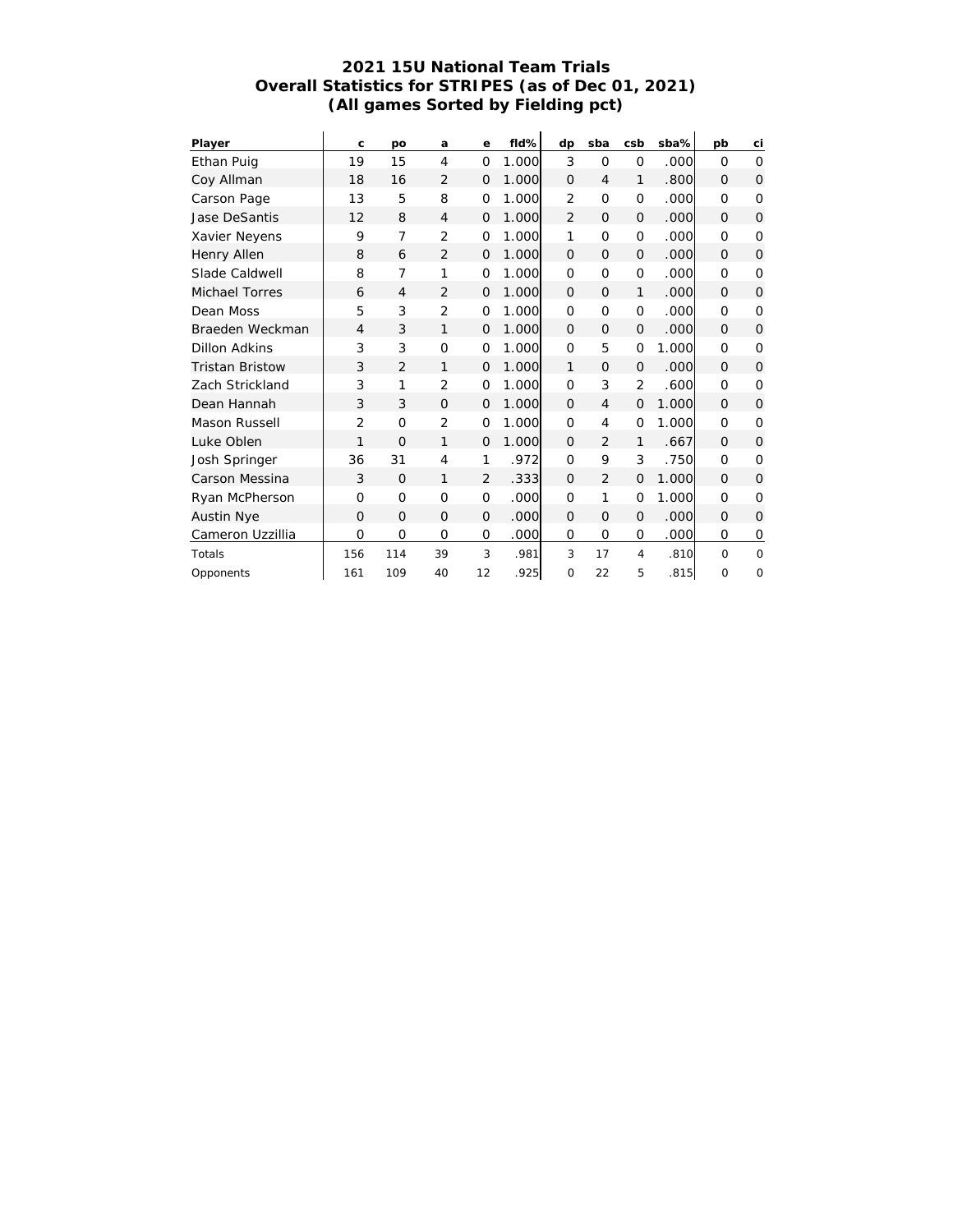#### **2021 15U National Team Trials Overall Statistics for STRIPES (as of Dec 01, 2021) (All games Sorted by Fielding pct)**

| Player                 | $\mathsf{C}$   | po             | a              | е              | fld%  | dp             | sba            | csb            | sba%   | pb       | ci       |
|------------------------|----------------|----------------|----------------|----------------|-------|----------------|----------------|----------------|--------|----------|----------|
| Ethan Puig             | 19             | 15             | 4              | O              | 1.000 | 3              | $\Omega$       | $\mathbf 0$    | .000   | $\Omega$ | $\Omega$ |
| Coy Allman             | 18             | 16             | $\overline{2}$ | $\Omega$       | 1.000 | $\Omega$       | $\overline{4}$ | 1              | .800   | $\Omega$ | $\Omega$ |
| Carson Page            | 13             | 5              | 8              | O              | 1.000 | $\overline{2}$ | $\Omega$       | $\mathbf 0$    | .000l  | $\Omega$ | 0        |
| <b>Jase DeSantis</b>   | 12             | 8              | $\overline{4}$ | $\overline{O}$ | 1.000 | 2              | $\Omega$       | $\Omega$       | .000   | $\Omega$ | $\Omega$ |
| Xavier Neyens          | 9              | 7              | $\overline{2}$ | $\Omega$       | 1.000 | 1              | $\Omega$       | $\circ$        | .000   | $\Omega$ | 0        |
| Henry Allen            | 8              | 6              | $\overline{2}$ | $\Omega$       | 1.000 | $\Omega$       | $\Omega$       | $\Omega$       | .000   | $\Omega$ | $\Omega$ |
| Slade Caldwell         | 8              | 7              | 1              | O              | 1.000 | $\Omega$       | $\Omega$       | $\circ$        | .000   | $\Omega$ | $\Omega$ |
| <b>Michael Torres</b>  | 6              | 4              | $\overline{2}$ | $\Omega$       | 1.000 | $\Omega$       | $\Omega$       | 1              | .000   | $\Omega$ | $\Omega$ |
| Dean Moss              | 5              | 3              | $\overline{2}$ | O              | 1.000 | $\Omega$       | $\Omega$       | $\mathbf 0$    | .000   | $\Omega$ | $\Omega$ |
| Braeden Weckman        | $\overline{4}$ | 3              | 1              | $\Omega$       | 1.000 | $\Omega$       | $\Omega$       | $\Omega$       | .oool  | $\Omega$ | $\Omega$ |
| Dillon Adkins          | 3              | 3              | $\circ$        | $\mathcal{O}$  | 1.000 | $\Omega$       | 5              | $\mathbf 0$    | 1.000  | $\Omega$ | $\Omega$ |
| <b>Tristan Bristow</b> | 3              | $\overline{2}$ | 1              | $\Omega$       | 1.000 | 1              | $\Omega$       | $\Omega$       | .000   | $\Omega$ | $\Omega$ |
| Zach Strickland        | 3              | 1              | $\overline{2}$ | O              | 1.000 | $\Omega$       | 3              | $\overline{2}$ | .600   | $\Omega$ | $\Omega$ |
| Dean Hannah            | 3              | 3              | $\Omega$       | $\mathbf{O}$   | 1.000 | $\Omega$       | $\overline{4}$ | $\Omega$       | 1.000  | $\Omega$ | 0        |
| Mason Russell          | $\overline{2}$ | $\Omega$       | $\overline{2}$ | 0              | 1.000 | $\Omega$       | 4              | $\mathbf 0$    | 1.000  | $\Omega$ | 0        |
| Luke Oblen             | 1              | $\Omega$       | 1              | $\Omega$       | 1.000 | $\Omega$       | $\overline{2}$ | 1              | .667   | $\Omega$ | $\Omega$ |
| Josh Springer          | 36             | 31             | 4              | 1              | .972  | $\Omega$       | 9              | 3              | .750l  | $\Omega$ | $\Omega$ |
| Carson Messina         | 3              | $\Omega$       | 1              | $\overline{2}$ | .3331 | $\Omega$       | $\overline{2}$ | $\Omega$       | 1.000  | $\Omega$ | $\Omega$ |
| Ryan McPherson         | $\Omega$       | $\Omega$       | $\Omega$       | O              | .000  | $\Omega$       | 1              | $\mathbf 0$    | 1.000l | $\Omega$ | $\Omega$ |
| <b>Austin Nye</b>      | $\Omega$       | $\Omega$       | $\Omega$       | $\Omega$       | .000  | $\Omega$       | $\Omega$       | $\Omega$       | .000l  | $\Omega$ | $\Omega$ |
| Cameron Uzzillia       | $\overline{O}$ | $\mathcal{O}$  | $\mathcal{O}$  | O              | .000  | $\mathbf 0$    | $\mathbf 0$    | $\mathbf 0$    | .000   | 0        | 0        |
| Totals                 | 156            | 114            | 39             | 3              | .981  | 3              | 17             | $\overline{4}$ | .810   | $\Omega$ | $\Omega$ |
| Opponents              | 161            | 109            | 40             | 12             | .925  | $\Omega$       | 22             | 5              | .815   | $\Omega$ | $\Omega$ |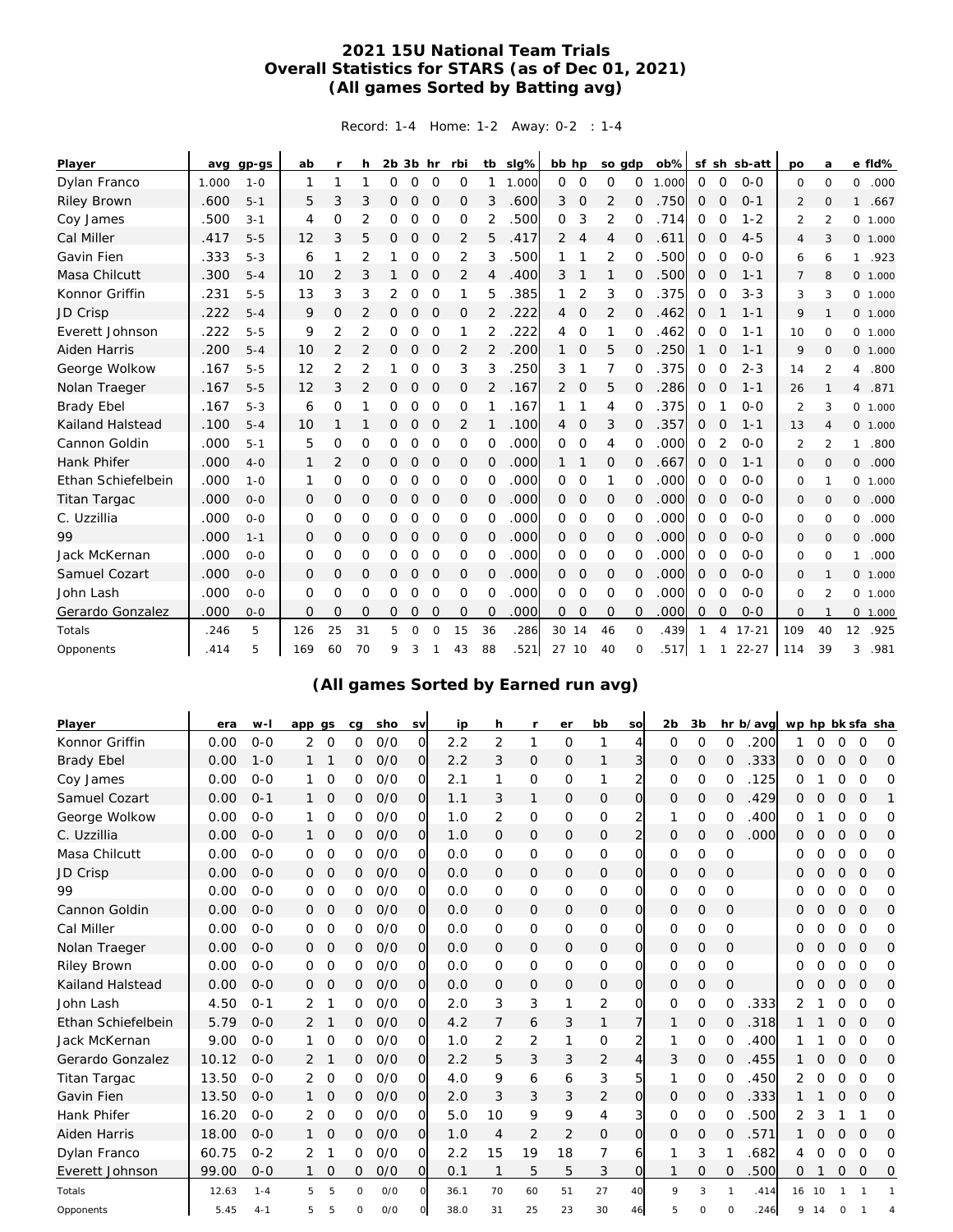## **2021 15U National Team Trials Overall Statistics for STARS (as of Dec 01, 2021) (All games Sorted by Batting avg)**

Record: 1-4 Home: 1-2 Away: 0-2 : 1-4

| Player             | avq   | $qp-gs$ | ab          | <b>r</b>       | h             | $2b$ $3b$ hr |               |                | rbi     | tb             | slg%  | bb hp          |                | so gdp         |                | $ob\%$ |                |                | sf sh sb-att | po             | a              |                | e fld%   |
|--------------------|-------|---------|-------------|----------------|---------------|--------------|---------------|----------------|---------|----------------|-------|----------------|----------------|----------------|----------------|--------|----------------|----------------|--------------|----------------|----------------|----------------|----------|
| Dylan Franco       | 1.000 | $1 - 0$ | 1           | 1              | 1             | 0            | 0             | O              | 0       | 1              | 1.000 | $\Omega$       | $\circ$        | 0              | 0              | 1.000  | $\mathbf 0$    | $\circ$        | $0 - 0$      | 0              | $\Omega$       | $\Omega$       | .000     |
| <b>Riley Brown</b> | .600  | $5 - 1$ | 5           | 3              | 3             | 0            | $\mathbf{O}$  | O              | 0       | 3              | .600  | 3              | $\circ$        | 2              | $\Omega$       | .750   | $\Omega$       | $\Omega$       | $O - 1$      | 2              | $\Omega$       | $\mathbf{1}$   | .667     |
| Coy James          | .500  | $3 - 1$ | 4           | $\Omega$       | 2             | 0            | 0             | 0              | 0       | 2              | 500   | 0              | 3              | 2              | O              | .714   | 0              | 0              | $1 - 2$      | 2              | 2              |                | 0 1.000  |
| Cal Miller         | .417  | $5 - 5$ | 12          | 3              | 5             | 0            | 0             | O              | 2       | 5              | .417  | 2              | $\overline{4}$ | $\overline{4}$ | 0              | .611   | $\mathbf{0}$   | O              | $4 - 5$      | 4              | 3              |                | 0 1.000  |
| Gavin Fien         | .333  | $5 - 3$ | 6           | 1              | 2             |              | 0             | 0              | 2       | 3              | 500   |                |                | 2              | $\Omega$       | 500    | 0              | 0              | $O - O$      | 6              | 6              | $\mathbf{1}$   | .923     |
| Masa Chilcutt      | .300  | $5 - 4$ | 10          | $\overline{2}$ | 3             |              | 0             | O              | 2       | 4              | 400   | 3              | 1              | 1              | 0              | .500   | $\mathbf{0}$   | O              | $1 - 1$      | $\overline{7}$ | 8              |                | 0 1.000  |
| Konnor Griffin     | .231  | $5 - 5$ | 13          | 3              | 3             | 2            | 0             | 0              | 1       | 5              | .385  |                | 2              | 3              | 0              | .375   | 0              | 0              | $3 - 3$      | 3              | 3              |                | 0 1.000  |
| JD Crisp           | .222  | $5 - 4$ | 9           | 0              | 2             | 0            | 0             | O              | 0       | 2              | .222  | 4              | O              | 2              | 0              | .462   | 0              |                | $1 - 1$      | 9              | $\mathbf{1}$   |                | 0 1.000  |
| Everett Johnson    | .222  | $5 - 5$ | 9           | 2              | 2             | 0            | 0             | $\circ$        | 1       | 2              | .222  | 4              | O              | 1              | 0              | 462    | 0              | 0              | $1 - 1$      | 10             | 0              |                | 0 1.000  |
| Aiden Harris       | .200  | $5 - 4$ | 10          | 2              | 2             | 0            | $\mathbf{O}$  | O              | 2       | 2              | .200  | $\mathbf{1}$   | $\circ$        | 5              | 0              | 250    | $\mathbf{1}$   | 0              | $1 - 1$      | 9              | $\mathbf{O}$   |                | 0, 1,000 |
| George Wolkow      | .167  | $5 - 5$ | 12          | 2              | 2             | 1.           | 0             | $\circ$        | 3       | 3              | .250  | 3              | 1              | 7              | 0              | .375   | 0              | 0              | $2 - 3$      | 14             | 2              | 4              | .800     |
| Nolan Traeger      | .167  | $5 - 5$ | 12          | 3              | 2             | 0            | $\mathcal{O}$ | O              | 0       | 2              | .167  | 2              | $\circ$        | 5              | $\Omega$       | 286    | $\mathbf{0}$   | O              | $1 - 1$      | 26             | $\mathbf{1}$   | $\overline{4}$ | .871     |
| <b>Brady Ebel</b>  | .167  | $5 - 3$ | 6           | $\Omega$       |               | 0            | 0             | 0              | 0       |                | .167  |                | 1              | 4              | O              | .375   | 0              |                | $O - O$      | $\overline{2}$ | 3              |                | 0, 1,000 |
| Kailand Halstead   | .100  | $5 - 4$ | 10          | 1              |               | 0            | $\mathcal{O}$ | O              | 2       |                | .100  | $\overline{4}$ | $\mathbf 0$    | 3              | 0              | .357   | $\mathbf{0}$   | O              | $1 - 1$      | 13             | $\overline{4}$ |                | 0 1.000  |
| Cannon Goldin      | .000  | $5 - 1$ | 5           | 0              | 0             | 0            | 0             | $\Omega$       | 0       | $\Omega$       | .000  | $\Omega$       | 0              | 4              | O              | .000   | $\Omega$       | 2              | $O - O$      | 2              | 2              | 1              | .800     |
| <b>Hank Phifer</b> | .000  | $4 - 0$ | 1           | $\overline{2}$ | 0             | 0            | 0             | O              | 0       | 0              | .000  | 1              | 1              | 0              | O              | .667   | 0              | 0              | $1 - 1$      | 0              | $\mathbf{O}$   | $\overline{O}$ | .000     |
| Ethan Schiefelbein | .000  | $1 - 0$ | 1           | 0              | 0             | 0            | 0             | 0              | 0       | 0              | .000  | $\Omega$       | 0              | 1              | 0              | .000   | 0              | 0              | $O - O$      | 0              | 1              |                | 0 1.000  |
| Titan Targac       | .000  | $O-O$   | 0           | 0              | 0             | 0            | 0             | O              | 0       | $\circ$        | .000  | $\Omega$       | 0              | 0              | 0              | .000   | $\mathbf{0}$   | $\mathbf 0$    | $0 - 0$      | 0              | $\mathbf{O}$   | 0              | .000     |
| C. Uzzillia        | .000  | $O - O$ | 0           | 0              | 0             | 0            | 0             | 0              | 0       | 0              | .000  | 0              | 0              | 0              | 0              | .000   | 0              | 0              | $O - O$      | 0              | $\circ$        | 0              | .000     |
| 99                 | .000  | $1 - 1$ | $\mathbf 0$ | 0              | $\circ$       | 0            | $\mathcal{O}$ | O              | O       | $\overline{O}$ | .000  | $\overline{0}$ | $\mathbf 0$    | $\circ$        | $\overline{O}$ | .000   | $\overline{O}$ | $\mathbf 0$    | $O - O$      | 0              | $\mathbf{0}$   | $\circ$        | .000     |
| Jack McKernan      | .000  | $O-O$   | 0           | 0              | 0             | 0            | 0             | 0              | 0       | 0              | .000  | 0              | 0              | O              | 0              | .000   | 0              | 0              | $O - O$      | 0              | $\circ$        | 1              | .000     |
| Samuel Cozart      | .000  | $O-O$   | 0           | 0              | $\mathcal{O}$ | 0            | $\mathcal{O}$ | $\overline{O}$ | $\circ$ | $\mathcal{O}$  | .000  | $\overline{0}$ | $\circ$        | $\mathbf 0$    | $\circ$        | .000   | $\overline{O}$ | $\overline{O}$ | $O-O$        | 0              | $\mathbf 1$    |                | 0, 1,000 |
| John Lash          | .000  | $0 - 0$ | 0           | 0              | 0             | 0            | 0             | 0              | 0       | 0              | .000  | $\Omega$       | 0              | 0              | 0              | .000   | 0              | 0              | $O - O$      | 0              | 2              |                | 0 1.000  |
| Gerardo Gonzalez   | 000   | $O - O$ | 0           | 0              | O             | 0            | $\mathbf 0$   | O              | 0       | $\mathcal{O}$  | .000  | $\overline{O}$ | 0              | $\circ$        | $\overline{O}$ | .000   | $\mathbf{0}$   | $\mathbf 0$    | $O - O$      | 0              |                |                | 0 1.000  |
| Totals             | .246  | 5       | 126         | 25             | 31            | 5.           | $\Omega$      | $\Omega$       | 15      | 36             | .286  | 30 14          |                | 46             | $\Omega$       | .439   | 1              | 4              | $17 - 21$    | 109            | 40             | 12             | .925     |
| Opponents          | .414  | 5       | 169         | 60             | 70            | 9            | 3             |                | 43      | 88             | .521  | 27 10          |                | 40             | 0              | .517   | 1              | $\overline{1}$ | $22 - 27$    | 114            | 39             | 3              | .981     |

# **(All games Sorted by Earned run avg)**

| Player<br>Konnor Griffin | era<br>0.00 | $W -$<br>$0 - 0$ | app      | as       | ca       | sho<br>0/0 | SV<br>$\Omega$ | ip<br>2.2 | h<br>$\overline{2}$ | r<br>1         | er             | bb<br>1        | SO<br>4               | 2 <sub>b</sub> | 3 <sub>b</sub> |              | hr b/avg<br>200 | wp hp bk sfa sha |          |          |             |          |
|--------------------------|-------------|------------------|----------|----------|----------|------------|----------------|-----------|---------------------|----------------|----------------|----------------|-----------------------|----------------|----------------|--------------|-----------------|------------------|----------|----------|-------------|----------|
|                          |             |                  | 2        | $\Omega$ | 0        |            |                | 2.2       |                     |                | $\circ$        |                |                       | 0              | $\mathbf 0$    | $\Omega$     | 333             | 1                | 0        | 0        | 0           | $\Omega$ |
| <b>Brady Ebel</b>        | 0.00        | $1 - 0$          | 1.       |          | 0        | O/O        | <sub>O</sub>   |           | 3                   | 0              | 0              | 1              | 3                     | $\mathbf 0$    | 0              | 0            |                 | Ω                | Ο        | 0        | 0           | O        |
| Coy James                | 0.00        | $0 - 0$          | 1        | 0        | 0        | O/O        | $\Omega$       | 2.1       | 1                   | 0              | $\mathbf 0$    | 1              | 2                     | 0              | $\mathbf 0$    | O            | 125             | Ω                |          | $\Omega$ | 0           | 0        |
| Samuel Cozart            | 0.00        | $0 - 1$          |          | 0        | 0        | O/O        | O              | 1.1       | 3                   | 1              | $\mathbf 0$    | 0              | $\mathbf 0$           | $\mathbf 0$    | $\mathbf 0$    | 0            | 429             | Ω                | Ω        | 0        | 0           | 1        |
| George Wolkow            | 0.00        | $0 - 0$          | 1.       | 0        | 0        | O/O        | $\overline{O}$ | 1.0       | 2                   | 0              | $\mathbf 0$    | 0              | $\mathbf{2}^{\prime}$ | 1              | 0              | 0            | 400             | Ω                |          | 0        | 0           | 0        |
| C. Uzzillia              | 0.00        | $0 - 0$          | 1.       | 0        | $\Omega$ | O/O        | $\overline{O}$ | 1.0       | 0                   | 0              | 0              | 0              | 2                     | 0              | 0              | O            | .000            | 0                | O        | 0        | 0           | 0        |
| Masa Chilcutt            | 0.00        | $0 - 0$          | 0        | 0        | 0        | O/O        | $\Omega$       | 0.0       | 0                   | 0              | 0              | 0              | O                     | 0              | 0              | $\mathbf 0$  |                 | 0                | 0        | 0        | 0           | 0        |
| JD Crisp                 | 0.00        | $0 - 0$          | 0        | 0        | 0        | 0/0        | $\overline{O}$ | 0.0       | 0                   | 0              | 0              | 0              | $\circ$               | 0              | 0              | $\mathbf 0$  |                 | Ω                | O        | 0        | O           | O        |
| 99                       | 0.00        | $0 - 0$          | 0        | 0        | 0        | O/O        | $\Omega$       | 0.0       | $\Omega$            | 0              | $\mathbf 0$    | 0              | O                     | 0              | $\mathbf 0$    | 0            |                 | Ω                | Ω        | 0        | 0           | 0        |
| Cannon Goldin            | 0.00        | $O-O$            | 0        | 0        | 0        | O/O        | $\overline{O}$ | 0.0       | 0                   | 0              | 0              | 0              | O                     | 0              | 0              | $\mathbf 0$  |                 | O                | Ω        | 0        | 0           | O        |
| Cal Miller               | 0.00        | $0 - 0$          | $\Omega$ | 0        | 0        | O/O        | $\overline{O}$ | 0.0       | $\Omega$            | 0              | $\mathbf 0$    | 0              | 0                     | 0              | $\mathbf 0$    | $\Omega$     |                 | Ω                | O        | 0        | 0           | 0        |
| Nolan Traeger            | 0.00        | $0 - 0$          | 0        | 0        | 0        | O/O        | $\overline{O}$ | 0.0       | $\Omega$            | 0              | 0              | 0              | 0                     | $\mathbf 0$    | 0              | $\mathbf 0$  |                 | Ω                | Ο        | $\Omega$ | 0           | 0        |
| <b>Riley Brown</b>       | 0.00        | $0 - 0$          | 0        | 0        | 0        | O/O        | $\Omega$       | 0.0       | 0                   | O              | $\mathbf 0$    | 0              | $\Omega$              | 0              | $\mathbf 0$    | 0            |                 | Ο                | Ω        | 0        | 0           | 0        |
| Kailand Halstead         | 0.00        | $0 - 0$          | 0        | $\Omega$ | $\Omega$ | O/O        | $\overline{O}$ | 0.0       | 0                   | 0              | 0              | 0              | $\mathbf 0$           | 0              | $\mathcal{O}$  | $\mathbf{O}$ |                 | Ω                | $\Omega$ | 0        | 0           | 0        |
| John Lash                | 4.50        | $0 - 1$          | 2        |          | 0        | O/O        | $\Omega$       | 2.0       | 3                   | 3              | 1              | 2              | O                     | 0              | 0              | 0            | 333             | 2                |          | 0        | 0           | 0        |
| Ethan Schiefelbein       | 5.79        | $0 - 0$          | 2        | 1        | 0        | O/O        | $\overline{O}$ | 4.2       | 7                   | 6              | 3              | 1              |                       | 1              | 0              | 0            | 318             |                  |          | $\circ$  | 0           | 0        |
| Jack McKernan            | 9.00        | $0 - 0$          | 1        | 0        | 0        | O/O        | 0              | 1.0       | 2                   | $\overline{2}$ | 1              | 0              |                       |                | $\mathbf 0$    | 0            | 400             |                  |          | 0        | 0           | 0        |
| Gerardo Gonzalez         | 10.12       | $0 - 0$          | 2        |          | 0        | O/O        | $\overline{O}$ | 2.2       | 5                   | 3              | 3              | $\overline{2}$ | 4                     | 3              | $\mathbf 0$    | 0            | 455             |                  | Ω        | 0        | O           | 0        |
| <b>Titan Targac</b>      | 13.50       | $0 - 0$          | 2        | 0        | 0        | O/O        | 0              | 4.0       | 9                   | 6              | 6              | 3              | 5                     |                | 0              | 0            | 450             | 2                | Ω        | 0        | 0           | 0        |
| Gavin Fien               | 13.50       | $0 - 0$          | 1        | 0        | 0        | O/O        | $\overline{O}$ | 2.0       | 3                   | 3              | 3              | $\overline{2}$ | O                     | 0              | $\mathbf 0$    | $\mathbf 0$  | 333             |                  |          | 0        | 0           | O        |
| Hank Phifer              | 16.20       | $0 - 0$          | 2        | 0        | 0        | O/O        | $\Omega$       | 5.0       | 10                  | 9              | 9              | 4              | 31                    | 0              | 0              | O            | 500             | 2                | 3        |          |             | 0        |
| <b>Aiden Harris</b>      | 18.00       | $O - O$          | 1        | 0        | 0        | 0/0        | $\overline{O}$ | 1.0       | 4                   | $\overline{2}$ | $\overline{2}$ | 0              | 0                     | 0              | 0              | 0            | 571             |                  | Ο        | O        | 0           | 0        |
| Dylan Franco             | 60.75       | $0 - 2$          | 2        |          | 0        | O/O        | $\Omega$       | 2.2       | 15                  | 19             | 18             | 7              | 6                     |                | 3              |              | 682             | 4                | O        | $\Omega$ | $\Omega$    | O        |
| Everett Johnson          | 99.00       | $0 - 0$          |          | 0        | 0        | O/O        | $\overline{O}$ | 0.1       | $\mathbf{1}$        | 5              | 5              | 3              | $\circ$               |                | $\mathcal{O}$  | 0            | 500             | 0                |          | 0        | $\mathbf 0$ | 0        |
| Totals                   | 12.63       | $1 - 4$          | 5        | 5        | 0        | 0/0        | $\circ$        | 36.1      | 70                  | 60             | 51             | 27             | 40                    | 9              | 3              | 1            | .414            | 16               | 10       |          | -1          | -1       |
| Opponents                | 5.45        | $4 - 1$          | 5        | 5        | 0        | 0/0        | $\circ$        | 38.0      | 31                  | 25             | 23             | 30             | 46                    | 5              | O              | O            | 246             | 9                | 14       | ∩        |             |          |